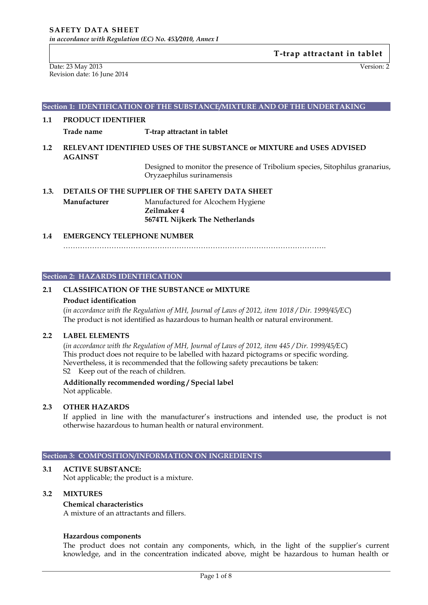Date: 23 May 2013 Version: 2 Revision date: 16 June 2014

### **Section 1: IDENTIFICATION OF THE SUBSTANCE/MIXTURE AND OF THE UNDERTAKING**

### **1.1 PRODUCT IDENTIFIER**

**Trade name T-trap attractant in tablet**

## **1.2 RELEVANT IDENTIFIED USES OF THE SUBSTANCE or MIXTURE and USES ADVISED AGAINST**

Designed to monitor the presence of Tribolium species, Sitophilus granarius, Oryzaephilus surinamensis

**1.3. DETAILS OF THE SUPPLIER OF THE SAFETY DATA SHEET Manufacturer** Manufactured for Alcochem Hygiene **Zeilmaker 4 5674TL Nijkerk The Netherlands**

### **1.4 EMERGENCY TELEPHONE NUMBER**

……………………………………………………………………………………………….

### **Section 2: HAZARDS IDENTIFICATION**

## **2.1 CLASSIFICATION OF THE SUBSTANCE or MIXTURE**

#### **Product identification**

(*in accordance with the Regulation of MH, Journal of Laws of 2012, item 1018 / Dir. 1999/45/EC*) The product is not identified as hazardous to human health or natural environment.

## **2.2 LABEL ELEMENTS**

(*in accordance with the Regulation of MH, Journal of Laws of 2012, item 445 / Dir. 1999/45/EC*) This product does not require to be labelled with hazard pictograms or specific wording. Nevertheless, it is recommended that the following safety precautions be taken: S2 Keep out of the reach of children.

**Additionally recommended wording / Special label** Not applicable.

### **2.3 OTHER HAZARDS**

If applied in line with the manufacturer's instructions and intended use, the product is not otherwise hazardous to human health or natural environment.

### **Section 3: COMPOSITION/INFORMATION ON INGREDIENTS**

# **3.1 ACTIVE SUBSTANCE:**

Not applicable; the product is a mixture.

### **3.2 MIXTURES**

### **Chemical characteristics**

A mixture of an attractants and fillers.

### **Hazardous components**

The product does not contain any components, which, in the light of the supplier's current knowledge, and in the concentration indicated above, might be hazardous to human health or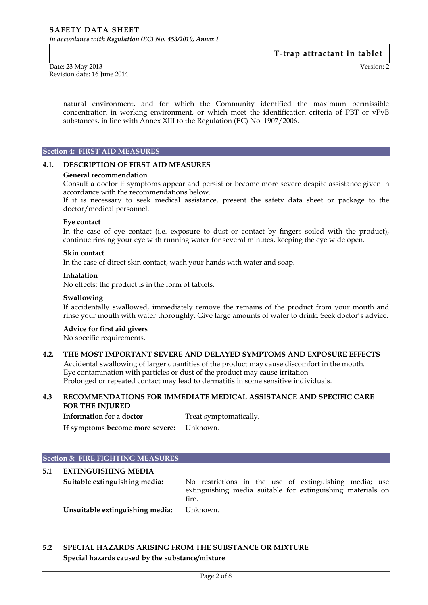Date: 23 May 2013 Version: 2 Revision date: 16 June 2014

natural environment, and for which the Community identified the maximum permissible concentration in working environment, or which meet the identification criteria of PBT or vPvB substances, in line with Annex XIII to the Regulation (EC) No. 1907/2006.

### **Section 4: FIRST AID MEASURES**

### **4.1. DESCRIPTION OF FIRST AID MEASURES**

#### **General recommendation**

Consult a doctor if symptoms appear and persist or become more severe despite assistance given in accordance with the recommendations below.

If it is necessary to seek medical assistance, present the safety data sheet or package to the doctor/medical personnel.

#### **Eye contact**

In the case of eye contact (i.e. exposure to dust or contact by fingers soiled with the product), continue rinsing your eye with running water for several minutes, keeping the eye wide open.

#### **Skin contact**

In the case of direct skin contact, wash your hands with water and soap.

#### **Inhalation**

No effects; the product is in the form of tablets.

#### **Swallowing**

If accidentally swallowed, immediately remove the remains of the product from your mouth and rinse your mouth with water thoroughly. Give large amounts of water to drink. Seek doctor's advice.

### **Advice for first aid givers**

No specific requirements.

### **4.2. THE MOST IMPORTANT SEVERE AND DELAYED SYMPTOMS AND EXPOSURE EFFECTS**

Accidental swallowing of larger quantities of the product may cause discomfort in the mouth. Eye contamination with particles or dust of the product may cause irritation. Prolonged or repeated contact may lead to dermatitis in some sensitive individuals.

## **4.3 RECOMMENDATIONS FOR IMMEDIATE MEDICAL ASSISTANCE AND SPECIFIC CARE FOR THE INJURED**

**Information for a doctor** Treat symptomatically. **If symptoms become more severe:** Unknown.

### **Section 5: FIRE FIGHTING MEASURES**

## **5.1 EXTINGUISHING MEDIA**

**Suitable extinguishing media:** No restrictions in the use of extinguishing media; use extinguishing media suitable for extinguishing materials on fire.

**Unsuitable extinguishing media:** Unknown.

## **5.2 SPECIAL HAZARDS ARISING FROM THE SUBSTANCE OR MIXTURE Special hazards caused by the substance/mixture**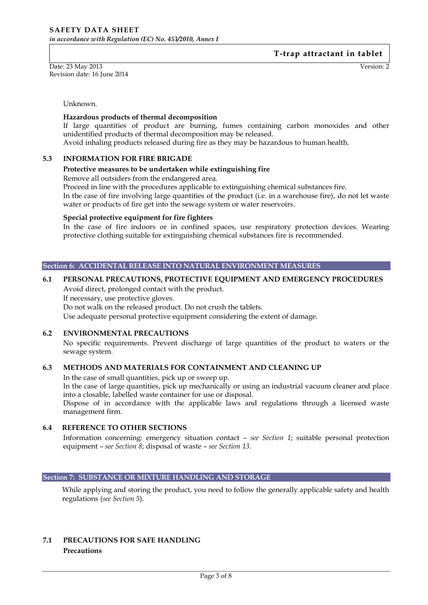Date: 23 May 2013 Version: 2 Revision date: 16 June 2014

Unknown.

### **Hazardous products of thermal decomposition**

If large quantities of product are burning, fumes containing carbon monoxides and other unidentified products of thermal decomposition may be released.

Avoid inhaling products released during fire as they may be hazardous to human health.

### **5.3 INFORMATION FOR FIRE BRIGADE**

### **Protective measures to be undertaken while extinguishing fire**

Remove all outsiders from the endangered area.

Proceed in line with the procedures applicable to extinguishing chemical substances fire.

In the case of fire involving large quantities of the product (i.e. in a warehouse fire), do not let waste water or products of fire get into the sewage system or water reservoirs.

### **Special protective equipment for fire fighters**

In the case of fire indoors or in confined spaces, use respiratory protection devices. Wearing protective clothing suitable for extinguishing chemical substances fire is recommended.

### **Section 6: ACCIDENTAL RELEASE INTO NATURAL ENVIRONMENT MEASURES**

## **6.1 PERSONAL PRECAUTIONS, PROTECTIVE EQUIPMENT AND EMERGENCY PROCEDURES**

Avoid direct, prolonged contact with the product. If necessary, use protective gloves. Do not walk on the released product. Do not crush the tablets. Use adequate personal protective equipment considering the extent of damage.

## **6.2 ENVIRONMENTAL PRECAUTIONS**

No specific requirements. Prevent discharge of large quantities of the product to waters or the sewage system.

## **6.3 METHODS AND MATERIALS FOR CONTAINMENT AND CLEANING UP**

In the case of small quantities, pick up or sweep up.

In the case of large quantities, pick up mechanically or using an industrial vacuum cleaner and place into a closable, labelled waste container for use or disposal.

Dispose of in accordance with the applicable laws and regulations through a licensed waste management firm.

## **6.4 REFERENCE TO OTHER SECTIONS**

Information concerning: emergency situation contact – *see Section 1*; suitable personal protection equipment – *see Section 8*; disposal of waste – *see Section 13*.

## **Section 7: SUBSTANCE OR MIXTURE HANDLING AND STORAGE**

While applying and storing the product, you need to follow the generally applicable safety and health regulations (*see Section 5*).

## **7.1 PRECAUTIONS FOR SAFE HANDLING Precautions**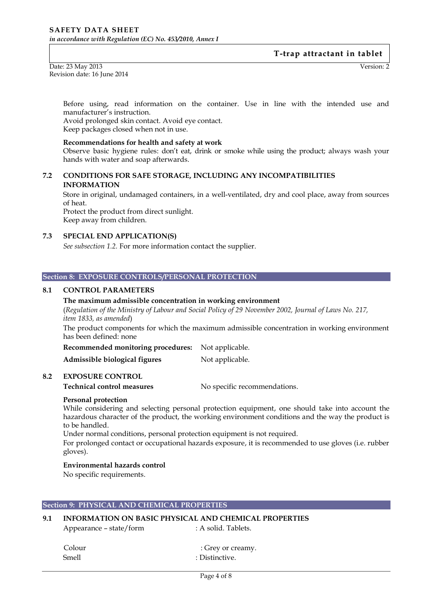Date: 23 May 2013 Version: 2 Revision date: 16 June 2014

Before using, read information on the container. Use in line with the intended use and manufacturer's instruction.

Avoid prolonged skin contact. Avoid eye contact. Keep packages closed when not in use.

### **Recommendations for health and safety at work**

Observe basic hygiene rules: don't eat, drink or smoke while using the product; always wash your hands with water and soap afterwards.

## **7.2 CONDITIONS FOR SAFE STORAGE, INCLUDING ANY INCOMPATIBILITIES INFORMATION**

Store in original, undamaged containers, in a well-ventilated, dry and cool place, away from sources of heat.

Protect the product from direct sunlight. Keep away from children.

## **7.3 SPECIAL END APPLICATION(S)**

*See subsection 1.2.* For more information contact the supplier.

#### **Section 8: EXPOSURE CONTROLS/PERSONAL PROTECTION**

### **8.1 CONTROL PARAMETERS**

### **The maximum admissible concentration in working environment**

(*Regulation of the Ministry of Labour and Social Policy of 29 November 2002, Journal of Laws No. 217, item 1833, as amended*)

The product components for which the maximum admissible concentration in working environment has been defined: none

**Recommended monitoring procedures:** Not applicable.

Admissible biological figures Not applicable.

### **8.2 EXPOSURE CONTROL**

**Technical control measures** No specific recommendations.

### **Personal protection**

While considering and selecting personal protection equipment, one should take into account the hazardous character of the product, the working environment conditions and the way the product is to be handled.

Under normal conditions, personal protection equipment is not required.

For prolonged contact or occupational hazards exposure, it is recommended to use gloves (i.e. rubber gloves).

### **Environmental hazards control**

No specific requirements.

### **Section 9: PHYSICAL AND CHEMICAL PROPERTIES**

### **9.1 INFORMATION ON BASIC PHYSICAL AND CHEMICAL PROPERTIES**

Appearance – state/form : A solid. Tablets.

Colour : Grey or creamy.

Smell : Distinctive.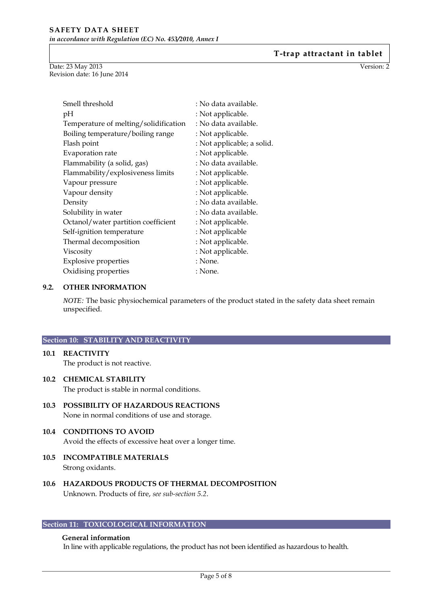Date: 23 May 2013 Version: 2 Revision date: 16 June 2014

| Smell threshold                       | : No data available.       |
|---------------------------------------|----------------------------|
| pН                                    | : Not applicable.          |
| Temperature of melting/solidification | : No data available.       |
| Boiling temperature/boiling range     | : Not applicable.          |
| Flash point                           | : Not applicable; a solid. |
| Evaporation rate                      | : Not applicable.          |
| Flammability (a solid, gas)           | : No data available.       |
| Flammability/explosiveness limits     | : Not applicable.          |
| Vapour pressure                       | : Not applicable.          |
| Vapour density                        | : Not applicable.          |
| Density                               | : No data available.       |
| Solubility in water                   | : No data available.       |
| Octanol/water partition coefficient   | : Not applicable.          |
| Self-ignition temperature             | : Not applicable           |
| Thermal decomposition                 | : Not applicable.          |
| Viscosity                             | : Not applicable.          |
| <b>Explosive properties</b>           | : None.                    |
| Oxidising properties                  | : None.                    |

## **9.2. OTHER INFORMATION**

*NOTE:* The basic physiochemical parameters of the product stated in the safety data sheet remain unspecified.

## **Section 10: STABILITY AND REACTIVITY**

**10.1 REACTIVITY** The product is not reactive.

## **10.2 CHEMICAL STABILITY**

The product is stable in normal conditions.

- **10.3 POSSIBILITY OF HAZARDOUS REACTIONS** None in normal conditions of use and storage.
- **10.4 CONDITIONS TO AVOID** Avoid the effects of excessive heat over a longer time.
- **10.5 INCOMPATIBLE MATERIALS** Strong oxidants.
- **10.6 HAZARDOUS PRODUCTS OF THERMAL DECOMPOSITION** Unknown. Products of fire, *see sub-section 5.2*.

## **Section 11: TOXICOLOGICAL INFORMATION**

## **General information**

In line with applicable regulations, the product has not been identified as hazardous to health.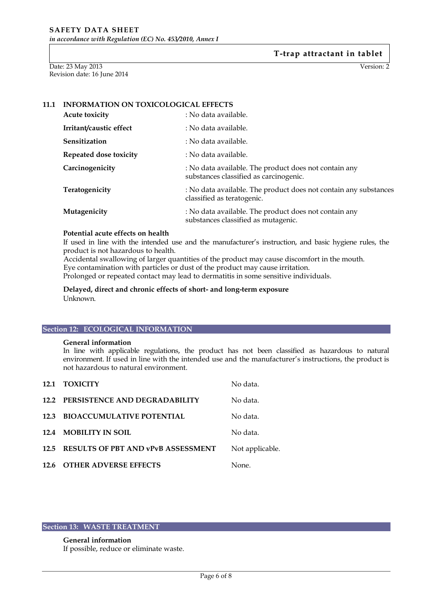Date: 23 May 2013 Version: 2 Revision date: 16 June 2014

## **11.1 INFORMATION ON TOXICOLOGICAL EFFECTS**

| <b>Acute toxicity</b>   | : No data available.                                                                            |
|-------------------------|-------------------------------------------------------------------------------------------------|
| Irritant/caustic effect | : No data available.                                                                            |
| Sensitization           | : No data available.                                                                            |
| Repeated dose toxicity  | : No data available.                                                                            |
| Carcinogenicity         | : No data available. The product does not contain any<br>substances classified as carcinogenic. |
| Teratogenicity          | : No data available. The product does not contain any substances<br>classified as teratogenic.  |
| Mutagenicity            | : No data available. The product does not contain any<br>substances classified as mutagenic.    |

## **Potential acute effects on health**

If used in line with the intended use and the manufacturer's instruction, and basic hygiene rules, the product is not hazardous to health.

Accidental swallowing of larger quantities of the product may cause discomfort in the mouth. Eye contamination with particles or dust of the product may cause irritation. Prolonged or repeated contact may lead to dermatitis in some sensitive individuals.

**Delayed, direct and chronic effects of short- and long-term exposure** Unknown.

### **Section 12: ECOLOGICAL INFORMATION**

#### **General information**

In line with applicable regulations, the product has not been classified as hazardous to natural environment. If used in line with the intended use and the manufacturer's instructions, the product is not hazardous to natural environment.

|      | 12.1 TOXICITY                             | No data.        |
|------|-------------------------------------------|-----------------|
|      | 12.2 PERSISTENCE AND DEGRADABILITY        | No data.        |
| 12.3 | <b>BIOACCUMULATIVE POTENTIAL</b>          | No data.        |
| 12.4 | <b>MOBILITY IN SOIL</b>                   | No data.        |
| 12.5 | <b>RESULTS OF PBT AND vPvB ASSESSMENT</b> | Not applicable. |
|      | 12.6 OTHER ADVERSE EFFECTS                | None.           |

## **Section 13: WASTE TREATMENT**

## **General information** If possible, reduce or eliminate waste.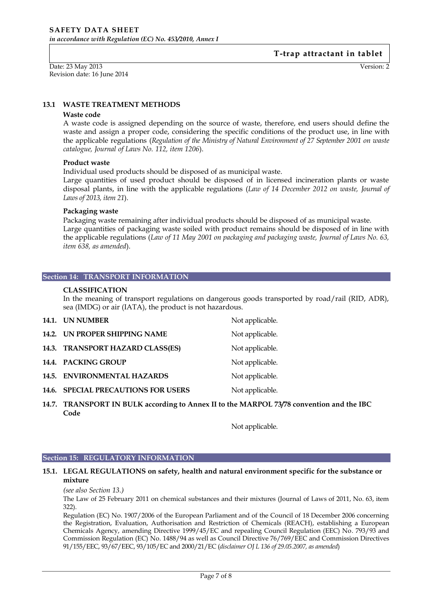Date: 23 May 2013 Version: 2 Revision date: 16 June 2014

### **13.1 WASTE TREATMENT METHODS**

#### **Waste code**

A waste code is assigned depending on the source of waste, therefore, end users should define the waste and assign a proper code, considering the specific conditions of the product use, in line with the applicable regulations (*Regulation of the Ministry of Natural Environment of 27 September 2001 on waste catalogue, Journal of Laws No. 112, item 1206*).

### **Product waste**

Individual used products should be disposed of as municipal waste.

Large quantities of used product should be disposed of in licensed incineration plants or waste disposal plants, in line with the applicable regulations (*Law of 14 December 2012 on waste, Journal of Laws of 2013, item 21*).

### **Packaging waste**

Packaging waste remaining after individual products should be disposed of as municipal waste. Large quantities of packaging waste soiled with product remains should be disposed of in line with the applicable regulations (*Law of 11 May 2001 on packaging and packaging waste, Journal of Laws No. 63, item 638, as amended*).

#### **Section 14: TRANSPORT INFORMATION**

### **CLASSIFICATION**

In the meaning of transport regulations on dangerous goods transported by road/rail (RID, ADR), sea (IMDG) or air (IATA), the product is not hazardous.

|       | 14.1. UN NUMBER                      | Not applicable. |
|-------|--------------------------------------|-----------------|
|       | 14.2. UN PROPER SHIPPING NAME        | Not applicable. |
|       | 14.3. TRANSPORT HAZARD CLASS(ES)     | Not applicable. |
|       | 14.4. PACKING GROUP                  | Not applicable. |
| 14.5. | <b>ENVIRONMENTAL HAZARDS</b>         | Not applicable. |
| 14.6. | <b>SPECIAL PRECAUTIONS FOR USERS</b> | Not applicable. |

**14.7. TRANSPORT IN BULK according to Annex II to the MARPOL 73/78 convention and the IBC Code**

Not applicable.

#### **Section 15: REGULATORY INFORMATION**

### **15.1. LEGAL REGULATIONS on safety, health and natural environment specific for the substance or mixture**

*(see also Section 13.)*

The Law of 25 February 2011 on chemical substances and their mixtures (Journal of Laws of 2011, No. 63, item 322).

Regulation (EC) No. 1907/2006 of the European Parliament and of the Council of 18 December 2006 concerning the Registration, Evaluation, Authorisation and Restriction of Chemicals (REACH), establishing a European Chemicals Agency, amending Directive 1999/45/EC and repealing Council Regulation (EEC) No. 793/93 and Commission Regulation (EC) No. 1488/94 as well as Council Directive 76/769/EEC and Commission Directives 91/155/EEC, 93/67/EEC, 93/105/EC and 2000/21/EC (*disclaimer OJ L 136 of 29.05.2007, as amended*)